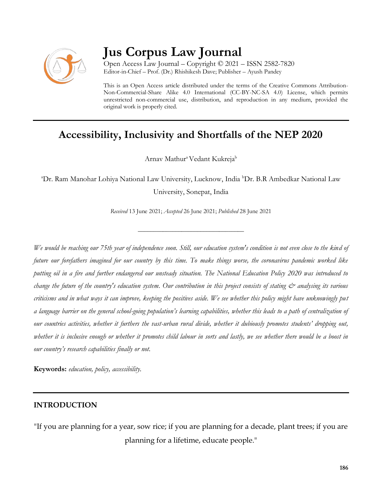

# **Jus Corpus Law Journal**

Open Access Law Journal – Copyright © 2021 – ISSN 2582-7820 Editor-in-Chief – Prof. (Dr.) Rhishikesh Dave; Publisher – Ayush Pandey

This is an Open Access article distributed under the terms of the Creative Commons Attribution-Non-Commercial-Share Alike 4.0 International (CC-BY-NC-SA 4.0) License, which permits unrestricted non-commercial use, distribution, and reproduction in any medium, provided the original work is properly cited.

# **Accessibility, Inclusivity and Shortfalls of the NEP 2020**

Arnav Mathur<sup>a</sup> Vedant Kukreja<sup>b</sup>

<sup>a</sup>Dr. Ram Manohar Lohiya National Law University, Lucknow, India <sup>b</sup>Dr. B.R Ambedkar National Law University, Sonepat, India

*Received* 13 June 2021; *Accepted* 26 June 2021; *Published* 28 June 2021

\_\_\_\_\_\_\_\_\_\_\_\_\_\_\_\_\_\_\_\_\_\_\_\_\_\_\_\_\_\_\_\_\_\_

*We would be reaching our 75th year of independence soon. Still, our education system's condition is not even close to the kind of future our forefathers imagined for our country by this time. To make things worse, the coronavirus pandemic worked like putting oil in a fire and further endangered our unsteady situation. The National Education Policy 2020 was introduced to change the future of the country's education system. Our contribution in this project consists of stating*  $\mathcal{C}^*$  *analysing its various criticisms and in what ways it can improve, keeping the positives aside. We see whether this policy might have unknowingly put a language barrier on the general school-going population's learning capabilities, whether this leads to a path of centralization of our countries activities, whether it furthers the vast-urban rural divide, whether it dubiously promotes students' dropping out, whether it is inclusive enough or whether it promotes child labour in sorts and lastly, we see whether there would be a boost in our country's research capabilities finally or not.*

**Keywords:** *education, policy, accessibility.*

### **INTRODUCTION**

"If you are planning for a year, sow rice; if you are planning for a decade, plant trees; if you are planning for a lifetime, educate people."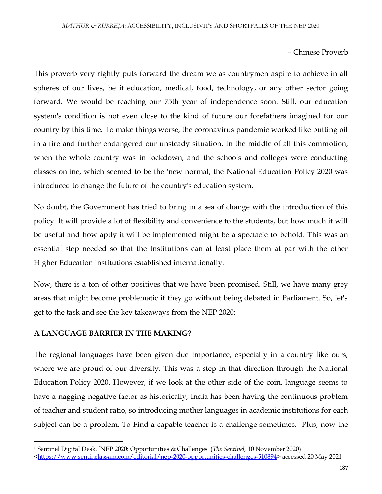#### – Chinese Proverb

This proverb very rightly puts forward the dream we as countrymen aspire to achieve in all spheres of our lives, be it education, medical, food, technology, or any other sector going forward. We would be reaching our 75th year of independence soon. Still, our education system's condition is not even close to the kind of future our forefathers imagined for our country by this time. To make things worse, the coronavirus pandemic worked like putting oil in a fire and further endangered our unsteady situation. In the middle of all this commotion, when the whole country was in lockdown, and the schools and colleges were conducting classes online, which seemed to be the 'new normal, the National Education Policy 2020 was introduced to change the future of the country's education system.

No doubt, the Government has tried to bring in a sea of change with the introduction of this policy. It will provide a lot of flexibility and convenience to the students, but how much it will be useful and how aptly it will be implemented might be a spectacle to behold. This was an essential step needed so that the Institutions can at least place them at par with the other Higher Education Institutions established internationally.

Now, there is a ton of other positives that we have been promised. Still, we have many grey areas that might become problematic if they go without being debated in Parliament. So, let's get to the task and see the key takeaways from the NEP 2020:

#### **A LANGUAGE BARRIER IN THE MAKING?**

 $\overline{\phantom{a}}$ 

The regional languages have been given due importance, especially in a country like ours, where we are proud of our diversity. This was a step in that direction through the National Education Policy 2020. However, if we look at the other side of the coin, language seems to have a nagging negative factor as historically, India has been having the continuous problem of teacher and student ratio, so introducing mother languages in academic institutions for each subject can be a problem. To Find a capable teacher is a challenge sometimes.<sup>1</sup> Plus, now the

<sup>1</sup> Sentinel Digital Desk, 'NEP 2020: Opportunities & Challenges' (*The Sentinel,* 10 November 2020)

[<sup>&</sup>lt;https://www.sentinelassam.com/editorial/nep-2020-opportunities-challenges-510894>](https://www.sentinelassam.com/editorial/nep-2020-opportunities-challenges-510894) accessed 20 May 2021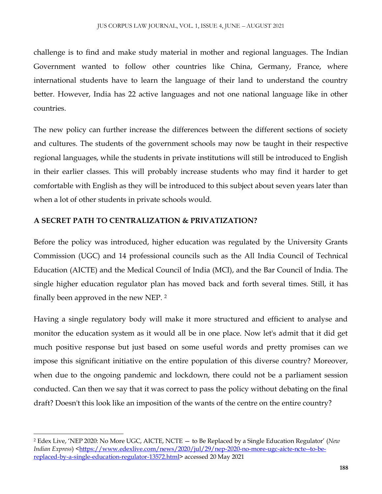challenge is to find and make study material in mother and regional languages. The Indian Government wanted to follow other countries like China, Germany, France, where international students have to learn the language of their land to understand the country better. However, India has 22 active languages and not one national language like in other countries.

The new policy can further increase the differences between the different sections of society and cultures. The students of the government schools may now be taught in their respective regional languages, while the students in private institutions will still be introduced to English in their earlier classes. This will probably increase students who may find it harder to get comfortable with English as they will be introduced to this subject about seven years later than when a lot of other students in private schools would.

# **A SECRET PATH TO CENTRALIZATION & PRIVATIZATION?**

 $\overline{\phantom{a}}$ 

Before the policy was introduced, higher education was regulated by the University Grants Commission (UGC) and 14 professional councils such as the All India Council of Technical Education (AICTE) and the Medical Council of India (MCI), and the Bar Council of India. The single higher education regulator plan has moved back and forth several times. Still, it has finally been approved in the new NEP. <sup>2</sup>

Having a single regulatory body will make it more structured and efficient to analyse and monitor the education system as it would all be in one place. Now let's admit that it did get much positive response but just based on some useful words and pretty promises can we impose this significant initiative on the entire population of this diverse country? Moreover, when due to the ongoing pandemic and lockdown, there could not be a parliament session conducted. Can then we say that it was correct to pass the policy without debating on the final draft? Doesn't this look like an imposition of the wants of the centre on the entire country?

<sup>2</sup> Edex Live, 'NEP 2020: No More UGC, AICTE, NCTE — to Be Replaced by a Single Education Regulator' (*New Indian Express*) [<https://www.edexlive.com/news/2020/jul/29/nep-2020-no-more-ugc-aicte-ncte--to-be](https://www.edexlive.com/news/2020/jul/29/nep-2020-no-more-ugc-aicte-ncte--to-be-replaced-by-a-single-education-regulator-13572.html)[replaced-by-a-single-education-regulator-13572.html>](https://www.edexlive.com/news/2020/jul/29/nep-2020-no-more-ugc-aicte-ncte--to-be-replaced-by-a-single-education-regulator-13572.html) accessed 20 May 2021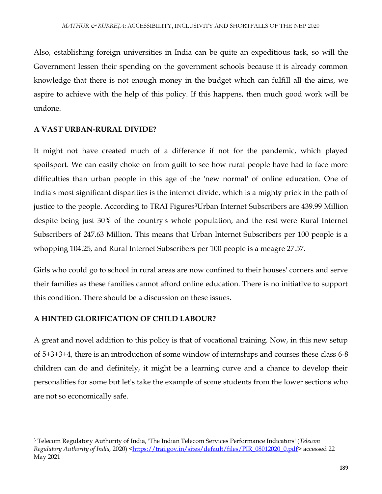Also, establishing foreign universities in India can be quite an expeditious task, so will the Government lessen their spending on the government schools because it is already common knowledge that there is not enough money in the budget which can fulfill all the aims, we aspire to achieve with the help of this policy. If this happens, then much good work will be undone.

# **A VAST URBAN-RURAL DIVIDE?**

It might not have created much of a difference if not for the pandemic, which played spoilsport. We can easily choke on from guilt to see how rural people have had to face more difficulties than urban people in this age of the 'new normal' of online education. One of India's most significant disparities is the internet divide, which is a mighty prick in the path of justice to the people. According to TRAI Figures<sup>3</sup>Urban Internet Subscribers are 439.99 Million despite being just 30% of the country's whole population, and the rest were Rural Internet Subscribers of 247.63 Million. This means that Urban Internet Subscribers per 100 people is a whopping 104.25, and Rural Internet Subscribers per 100 people is a meagre 27.57.

Girls who could go to school in rural areas are now confined to their houses' corners and serve their families as these families cannot afford online education. There is no initiative to support this condition. There should be a discussion on these issues.

# **A HINTED GLORIFICATION OF CHILD LABOUR?**

 $\overline{\phantom{a}}$ 

A great and novel addition to this policy is that of vocational training. Now, in this new setup of 5+3+3+4, there is an introduction of some window of internships and courses these class 6-8 children can do and definitely, it might be a learning curve and a chance to develop their personalities for some but let's take the example of some students from the lower sections who are not so economically safe.

<sup>3</sup> Telecom Regulatory Authority of India, 'The Indian Telecom Services Performance Indicators' (*Telecom Regulatory Authority of India,* 2020) [<https://trai.gov.in/sites/default/files/PIR\\_08012020\\_0.pdf>](https://trai.gov.in/sites/default/files/PIR_08012020_0.pdf) accessed 22 May 2021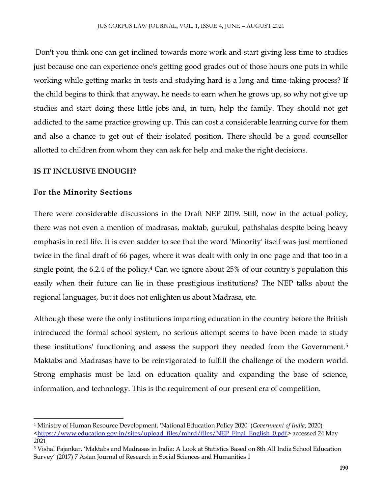Don't you think one can get inclined towards more work and start giving less time to studies just because one can experience one's getting good grades out of those hours one puts in while working while getting marks in tests and studying hard is a long and time-taking process? If the child begins to think that anyway, he needs to earn when he grows up, so why not give up studies and start doing these little jobs and, in turn, help the family. They should not get addicted to the same practice growing up. This can cost a considerable learning curve for them and also a chance to get out of their isolated position. There should be a good counsellor allotted to children from whom they can ask for help and make the right decisions.

# **IS IT INCLUSIVE ENOUGH?**

# **For the Minority Sections**

 $\overline{a}$ 

There were considerable discussions in the Draft NEP 2019. Still, now in the actual policy, there was not even a mention of madrasas, maktab, gurukul, pathshalas despite being heavy emphasis in real life. It is even sadder to see that the word 'Minority' itself was just mentioned twice in the final draft of 66 pages, where it was dealt with only in one page and that too in a single point, the 6.2.4 of the policy.<sup>4</sup> Can we ignore about 25% of our country's population this easily when their future can lie in these prestigious institutions? The NEP talks about the regional languages, but it does not enlighten us about Madrasa, etc.

Although these were the only institutions imparting education in the country before the British introduced the formal school system, no serious attempt seems to have been made to study these institutions' functioning and assess the support they needed from the Government.<sup>5</sup> Maktabs and Madrasas have to be reinvigorated to fulfill the challenge of the modern world. Strong emphasis must be laid on education quality and expanding the base of science, information, and technology. This is the requirement of our present era of competition.

<sup>4</sup> Ministry of Human Resource Development, 'National Education Policy 2020' (*Government of India*, 2020) [<https://www.education.gov.in/sites/upload\\_files/mhrd/files/NEP\\_Final\\_English\\_0.pdf>](https://www.education.gov.in/sites/upload_files/mhrd/files/NEP_Final_English_0.pdf) accessed 24 May 2021

<sup>5</sup> Vishal Pajankar, 'Maktabs and Madrasas in India: A Look at Statistics Based on 8th All India School Education Survey' (2017) 7 Asian Journal of Research in Social Sciences and Humanities 1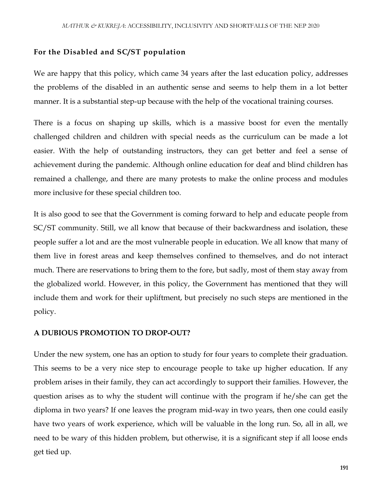#### **For the Disabled and SC/ST population**

We are happy that this policy, which came 34 years after the last education policy, addresses the problems of the disabled in an authentic sense and seems to help them in a lot better manner. It is a substantial step-up because with the help of the vocational training courses.

There is a focus on shaping up skills, which is a massive boost for even the mentally challenged children and children with special needs as the curriculum can be made a lot easier. With the help of outstanding instructors, they can get better and feel a sense of achievement during the pandemic. Although online education for deaf and blind children has remained a challenge, and there are many protests to make the online process and modules more inclusive for these special children too.

It is also good to see that the Government is coming forward to help and educate people from SC/ST community. Still, we all know that because of their backwardness and isolation, these people suffer a lot and are the most vulnerable people in education. We all know that many of them live in forest areas and keep themselves confined to themselves, and do not interact much. There are reservations to bring them to the fore, but sadly, most of them stay away from the globalized world. However, in this policy, the Government has mentioned that they will include them and work for their upliftment, but precisely no such steps are mentioned in the policy.

#### **A DUBIOUS PROMOTION TO DROP-OUT?**

Under the new system, one has an option to study for four years to complete their graduation. This seems to be a very nice step to encourage people to take up higher education. If any problem arises in their family, they can act accordingly to support their families. However, the question arises as to why the student will continue with the program if he/she can get the diploma in two years? If one leaves the program mid-way in two years, then one could easily have two years of work experience, which will be valuable in the long run. So, all in all, we need to be wary of this hidden problem, but otherwise, it is a significant step if all loose ends get tied up.